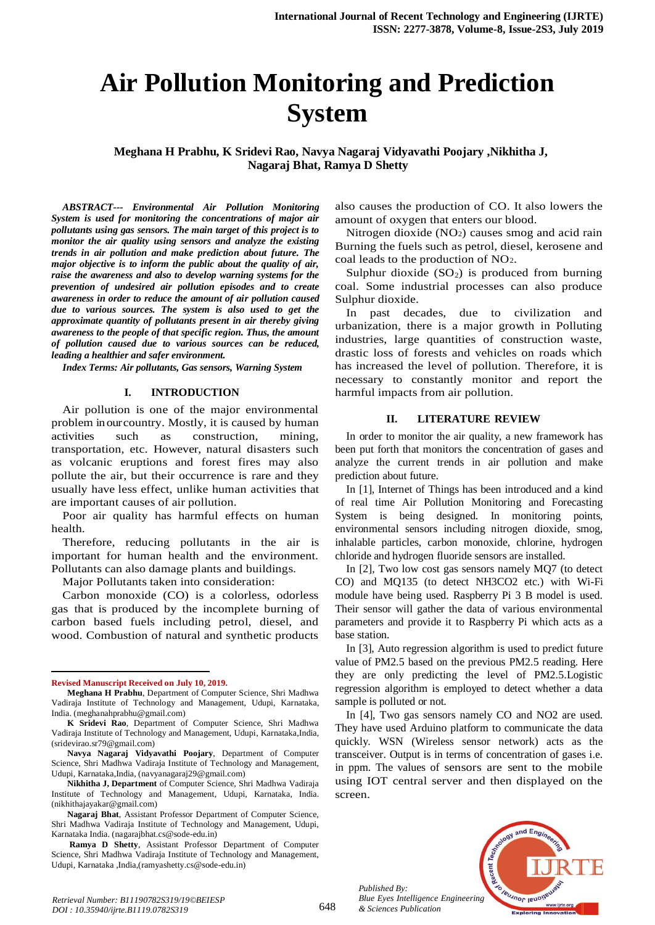# **Air Pollution Monitoring and Prediction System**

**Meghana H Prabhu, K Sridevi Rao, Navya Nagaraj Vidyavathi Poojary ,Nikhitha J, Nagaraj Bhat, Ramya D Shetty**

*ABSTRACT--- Environmental Air Pollution Monitoring System is used for monitoring the concentrations of major air pollutants using gas sensors. The main target of this project is to monitor the air quality using sensors and analyze the existing trends in air pollution and make prediction about future. The major objective is to inform the public about the quality of air, raise the awareness and also to develop warning systems for the prevention of undesired air pollution episodes and to create awareness in order to reduce the amount of air pollution caused due to various sources. The system is also used to get the approximate quantity of pollutants present in air thereby giving awareness to the people of that specific region. Thus, the amount of pollution caused due to various sources can be reduced, leading a healthier and safer environment.*

*Index Terms: Air pollutants, Gas sensors, Warning System*

#### **I. INTRODUCTION**

Air pollution is one of the major environmental problem inourcountry. Mostly, it is caused by human activities such as construction, mining, transportation, etc. However, natural disasters such as volcanic eruptions and forest fires may also pollute the air, but their occurrence is rare and they usually have less effect, unlike human activities that are important causes of air pollution.

Poor air quality has harmful effects on human health.

Therefore, reducing pollutants in the air is important for human health and the environment. Pollutants can also damage plants and buildings.

Major Pollutants taken into consideration:

Carbon monoxide (CO) is a colorless, odorless gas that is produced by the incomplete burning of carbon based fuels including petrol, diesel, and wood. Combustion of natural and synthetic products

 $\ddot{\phantom{a}}$ 

also causes the production of CO. It also lowers the amount of oxygen that enters our blood.

Nitrogen dioxide (NO2) causes smog and acid rain Burning the fuels such as petrol, diesel, kerosene and coal leads to the production of NO2.

Sulphur dioxide  $(SO<sub>2</sub>)$  is produced from burning coal. Some industrial processes can also produce Sulphur dioxide.

In past decades, due to civilization and urbanization, there is a major growth in Polluting industries, large quantities of construction waste, drastic loss of forests and vehicles on roads which has increased the level of pollution. Therefore, it is necessary to constantly monitor and report the harmful impacts from air pollution.

#### **II. LITERATURE REVIEW**

In order to monitor the air quality, a new framework has been put forth that monitors the concentration of gases and analyze the current trends in air pollution and make prediction about future.

In [1], Internet of Things has been introduced and a kind of real time Air Pollution Monitoring and Forecasting System is being designed. In monitoring points, environmental sensors including nitrogen dioxide, smog, inhalable particles, carbon monoxide, chlorine, hydrogen chloride and hydrogen fluoride sensors are installed.

In [2], Two low cost gas sensors namely MQ7 (to detect CO) and MQ135 (to detect NH3CO2 etc.) with Wi-Fi module have being used. Raspberry Pi 3 B model is used. Their sensor will gather the data of various environmental parameters and provide it to Raspberry Pi which acts as a base station.

In [3], Auto regression algorithm is used to predict future value of PM2.5 based on the previous PM2.5 reading. Here they are only predicting the level of PM2.5.Logistic regression algorithm is employed to detect whether a data sample is polluted or not.

In [4], Two gas sensors namely CO and NO2 are used. They have used Arduino platform to communicate the data quickly. WSN (Wireless sensor network) acts as the transceiver. Output is in terms of concentration of gases i.e. in ppm. The values of sensors are sent to the mobile using IOT central server and then displayed on the screen.



**Revised Manuscript Received on July 10, 2019.**

**Meghana H Prabhu**, Department of Computer Science, Shri Madhwa Vadiraja Institute of Technology and Management, Udupi, Karnataka, India. (meghanahprabhu@gmail.com)

**K Sridevi Rao**, Department of Computer Science, Shri Madhwa Vadiraja Institute of Technology and Management, Udupi, Karnataka,India, (sridevirao.sr79@gmail.com)

**Navya Nagaraj Vidyavathi Poojary**, Department of Computer Science, Shri Madhwa Vadiraja Institute of Technology and Management, Udupi, Karnataka,India, (navyanagaraj29@gmail.com)

**Nikhitha J, Department** of Computer Science, Shri Madhwa Vadiraja Institute of Technology and Management, Udupi, Karnataka, India. (nikhithajayakar@gmail.com)

**Nagaraj Bhat**, Assistant Professor Department of Computer Science, Shri Madhwa Vadiraja Institute of Technology and Management, Udupi, Karnataka India. (nagarajbhat.cs@sode-edu.in)

**Ramya D Shetty**, Assistant Professor Department of Computer Science, Shri Madhwa Vadiraja Institute of Technology and Management, Udupi, Karnataka ,India,(ramyashetty.cs@sode-edu.in)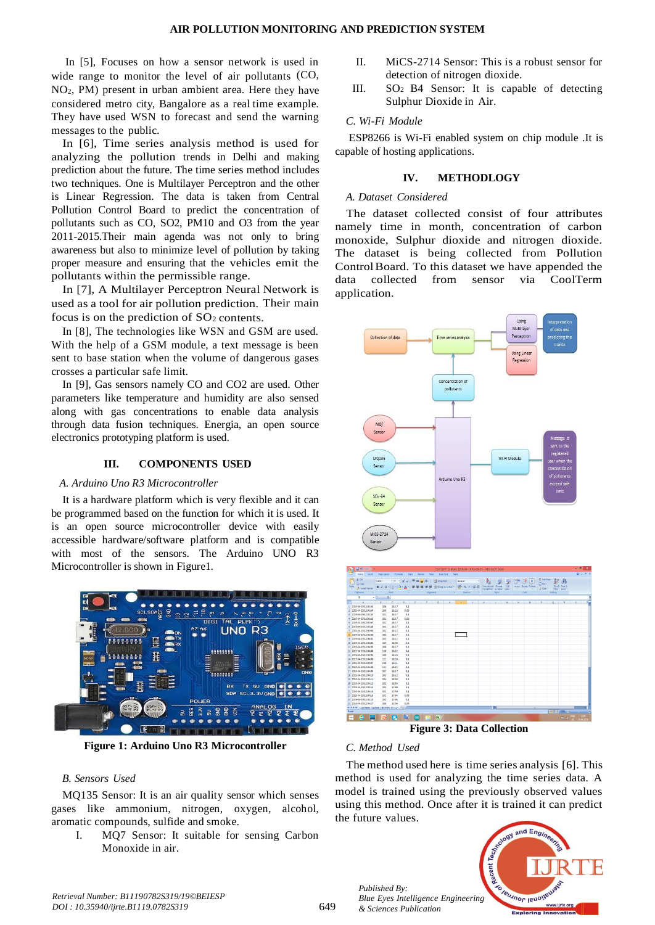In [5], Focuses on how a sensor network is used in wide range to monitor the level of air pollutants (CO, NO2, PM) present in urban ambient area. Here they have considered metro city, Bangalore as a real time example. They have used WSN to forecast and send the warning messages to the public.

In [6], Time series analysis method is used for analyzing the pollution trends in Delhi and making prediction about the future. The time series method includes two techniques. One is Multilayer Perceptron and the other is Linear Regression. The data is taken from Central Pollution Control Board to predict the concentration of pollutants such as CO, SO2, PM10 and O3 from the year 2011-2015.Their main agenda was not only to bring awareness but also to minimize level of pollution by taking proper measure and ensuring that the vehicles emit the pollutants within the permissible range.

In [7], A Multilayer Perceptron Neural Network is used as a tool for air pollution prediction. Their main focus is on the prediction of  $SO<sub>2</sub>$  contents.

In [8], The technologies like WSN and GSM are used. With the help of a GSM module, a text message is been sent to base station when the volume of dangerous gases crosses a particular safe limit.

In [9], Gas sensors namely CO and CO2 are used. Other parameters like temperature and humidity are also sensed along with gas concentrations to enable data analysis through data fusion techniques. Energia, an open source electronics prototyping platform is used.

## **III. COMPONENTS USED**

## *A. Arduino Uno R3 Microcontroller*

It is a hardware platform which is very flexible and it can be programmed based on the function for which it is used. It is an open source microcontroller device with easily accessible hardware/software platform and is compatible with most of the sensors. The Arduino UNO R3 Microcontroller is shown in Figure1.



**Figure 1: Arduino Uno R3 Microcontroller**

## *B. Sensors Used*

MQ135 Sensor: It is an air quality sensor which senses gases like ammonium, nitrogen, oxygen, alcohol, aromatic compounds, sulfide and smoke.

I. MQ7 Sensor: It suitable for sensing Carbon Monoxide in air.

- II. MiCS-2714 Sensor: This is a robust sensor for detection of nitrogen dioxide.
- III. SO2 B4 Sensor: It is capable of detecting Sulphur Dioxide in Air.

## *C. Wi-Fi Module*

ESP8266 is Wi-Fi enabled system on chip module .It is capable of hosting applications.

## **IV. METHODLOGY**

## *A. Dataset Considered*

The dataset collected consist of four attributes namely time in month, concentration of carbon monoxide, Sulphur dioxide and nitrogen dioxide. The dataset is being collected from Pollution Control Board. To this dataset we have appended the data collected from sensor via CoolTerm application.



**Figure 3: Data Collection**

## *C. Method Used*

*Published By:*

*& Sciences Publication* 

The method used here is time series analysis [6]. This method is used for analyzing the time series data. A model is trained using the previously observed values using this method. Once after it is trained it can predict the future values.

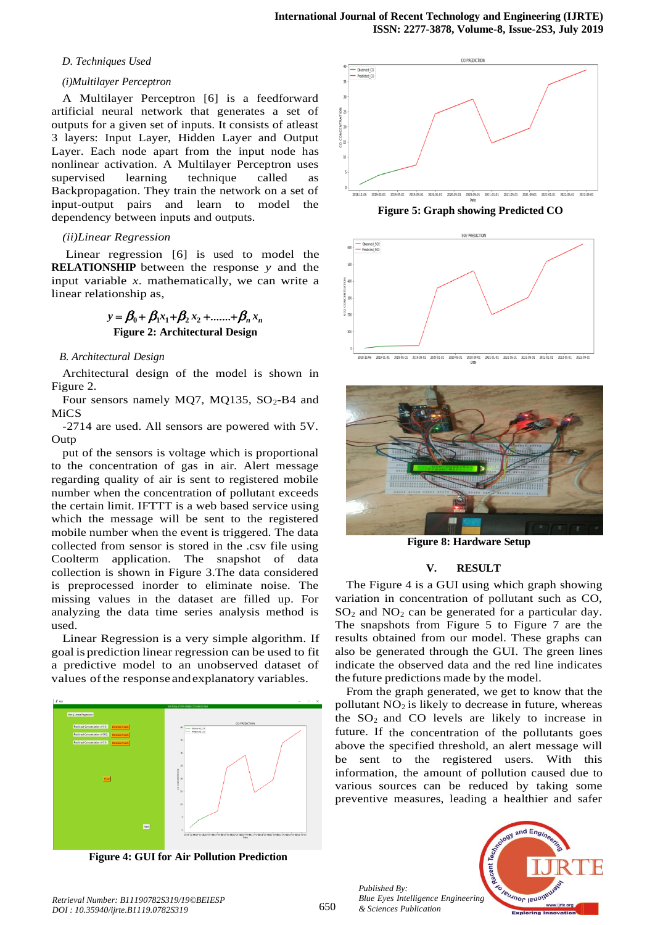#### *D. Techniques Used*

## *(i)Multilayer Perceptron*

A Multilayer Perceptron [6] is a feedforward artificial neural network that generates a set of outputs for a given set of inputs. It consists of atleast 3 layers: Input Layer, Hidden Layer and Output Layer. Each node apart from the input node has nonlinear activation. A Multilayer Perceptron uses supervised learning technique called as Backpropagation. They train the network on a set of input-output pairs and learn to model the dependency between inputs and outputs.

#### *(ii)Linear Regression*

Linear regression [6] is used to model the **RELATIONSHIP** between the response *y* and the input variable *x*. mathematically, we can write a linear relationship as,

# $y = \beta_0 + \beta_1 x_1 + \beta_2 x_2 + \dots + \beta_n x_n$ **Figure 2: Architectural Design**

## *B. Architectural Design*

Architectural design of the model is shown in Figure 2.

Four sensors namely MQ7, MQ135,  $SO_2$ -B4 and MiCS

-2714 are used. All sensors are powered with 5V. **Outp** 

put of the sensors is voltage which is proportional to the concentration of gas in air. Alert message regarding quality of air is sent to registered mobile number when the concentration of pollutant exceeds the certain limit. IFTTT is a web based service using which the message will be sent to the registered mobile number when the event is triggered. The data collected from sensor is stored in the .csv file using Coolterm application. The snapshot of data collection is shown in Figure 3.The data considered is preprocessed inorder to eliminate noise. The missing values in the dataset are filled up. For analyzing the data time series analysis method is used.

Linear Regression is a very simple algorithm. If goal is prediction linear regression can be used to fit a predictive model to an unobserved dataset of values ofthe response andexplanatory variables.



 **Figure 4: GUI for Air Pollution Prediction** 



**Figure 5: Graph showing Predicted CO** 



2018-11-06 2019-01-01 2019-05-01 2019-09-01 2020-01-01 2021-05-01 2021-09-01 2022-01-01



**Figure 8: Hardware Setup**

## **V. RESULT**

The Figure 4 is a GUI using which graph showing variation in concentration of pollutant such as CO,  $SO<sub>2</sub>$  and  $NO<sub>2</sub>$  can be generated for a particular day. The snapshots from Figure 5 to Figure 7 are the results obtained from our model. These graphs can also be generated through the GUI. The green lines indicate the observed data and the red line indicates the future predictions made by the model.

From the graph generated, we get to know that the pollutant  $NO<sub>2</sub>$  is likely to decrease in future, whereas the  $SO<sub>2</sub>$  and CO levels are likely to increase in future. If the concentration of the pollutants goes above the specified threshold, an alert message will be sent to the registered users. With this information, the amount of pollution caused due to various sources can be reduced by taking some preventive measures, leading a healthier and safer

*Published By: Blue Eyes Intelligence Engineering & Sciences Publication*